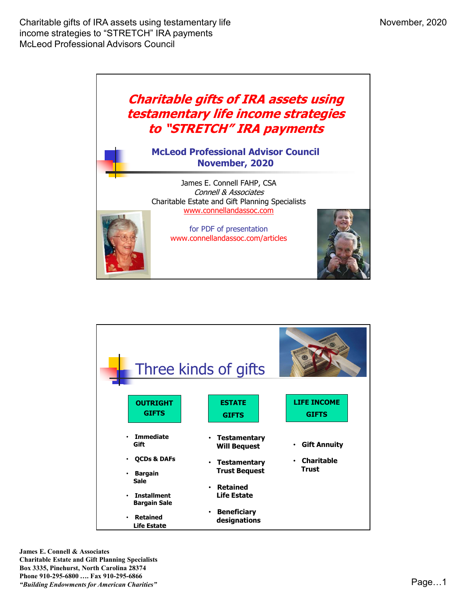



James E. Connell & Associates Charitable Estate and Gift Planning Specialists Box 3335, Pinehurst, North Carolina 28374 Phone 910-295-6800 …. Fax 910-295-6866 Then the second in the second second second second second second second second second second second second second second second second second second second second second second second second second second second second sec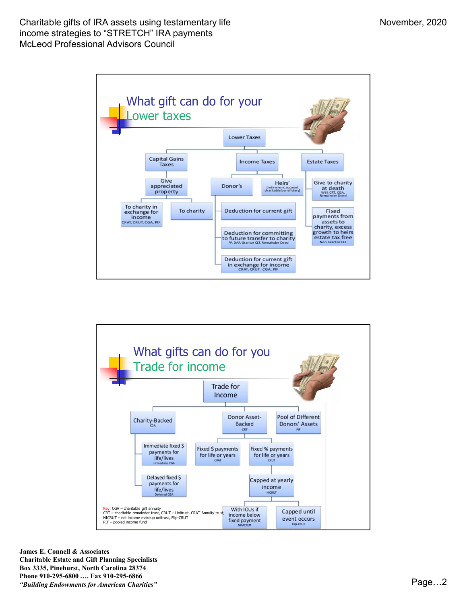



James E. Connell & Associates Charitable Estate and Gift Planning Specialists Box 3335, Pinehurst, North Carolina 28374 Phone 910-295-6800 …. Fax 910-295-6866 Then the second in the second second second second second second second second second second second second second  $Page...2$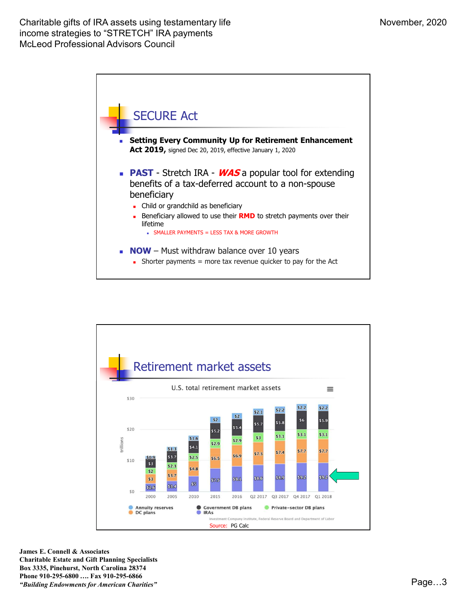



James E. Connell & Associates Charitable Estate and Gift Planning Specialists Box 3335, Pinehurst, North Carolina 28374 Phone 910-295-6800 …. Fax 910-295-6866 Then the second in the second second second second second second second second second second second second second  $Pa$ ge...3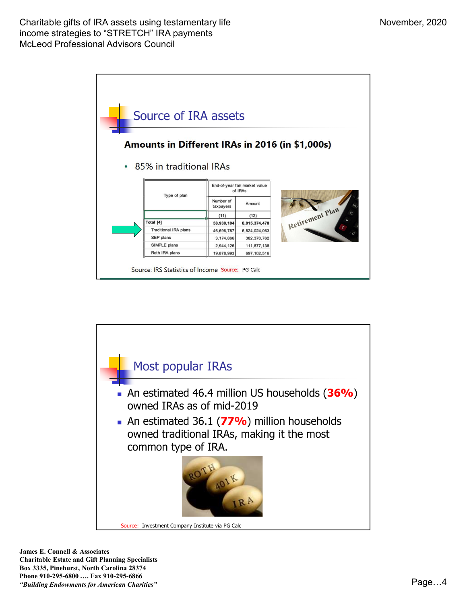



James E. Connell & Associates Charitable Estate and Gift Planning Specialists Box 3335, Pinehurst, North Carolina 28374 Phone 910-295-6800 …. Fax 910-295-6866 There are not the second in the second second that the second second second second page of the second page of  $P$  and  $P$  and  $P$  and  $P$  and  $P$  and  $P$  and  $P$  and  $P$  and  $P$  and  $P$  and  $P$  and  $P$  and  $P$  and  $P$  and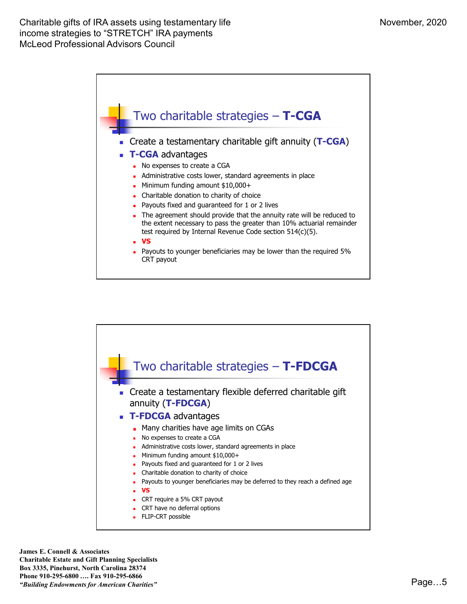



James E. Connell & Associates Charitable Estate and Gift Planning Specialists Box 3335, Pinehurst, North Carolina 28374 Phone 910-295-6800 …. Fax 910-295-6866 The continuum of the continuum of the continuum of the continuum of the continuum of the continuum of the continuum of the continuum of the continuum of the continuum of the continuum of the continuum of the continuum of t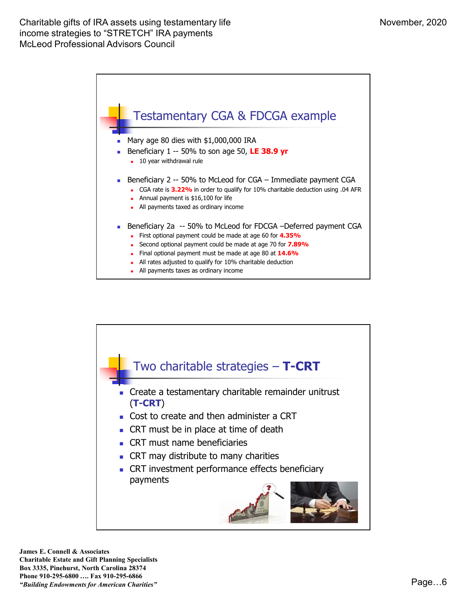

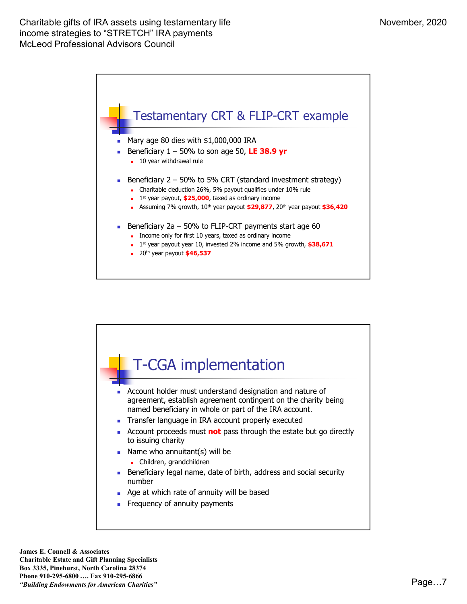